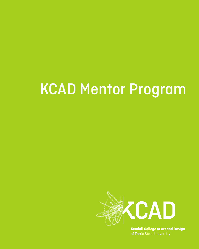# KCAD Mentor Program



**Kendall College of Art and Design**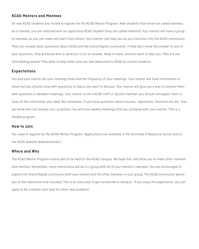# **KCAD Mentors and Mentees**

All new KCAD students are invited to register for the KCAD Mentor Program. New students that enroll are called mentees. As a mentee, you are matched with an upperclass KCAD student (they are called mentors). Your mentor will have a group of mentees so you can meet and learn from others. Your mentor can help you as you transition into the KCAD community. They can answer basic questions about KCAD and the Grand Rapids community. If they don't know the answer to one of your questions, they will know who to send you to for an answer. Keep in mind, mentors want to help you. They are not intimidating people! They want to help make sure you feel welcomed to KCAD by current students.

# **Expectations**

You and your mentor set your meeting times and the frequency of your meetings. Your mentor will have information to share but you should come with questions or topics you want to discuss. Your mentor will give you a way to contact them with questions in between meetings. Your mentor is not a KCAD staff or faculty member, you should not expect them to have all the information you need. But remember, if you have questions about courses, registration, financial aid, etc. they will know who can answer your questions. You will have weekly meetings that you schedule with your mentor. This is a flexible program.

## **How to Join**

You need to register for the KCAD Mentor Program. Applications are available in the Activities & Resource Center and on the KCAD website (www.kcad.edu.)

## **Where and Why**

The KCAD Mentor Program events will all be held on the KCAD campus. We hope this will allow you to meet other mentees and mentors. Remember, most interactions will be in a group with all of your mentor's mentees. You are encouraged to explore the Grand Rapids community with your mentor and the other mentees in your group. The KCAD community wants you to feel welcomed and included. This is an easy way to get connected to campus. If you enjoy the experience, you can apply to be a mentor next year for other new students!